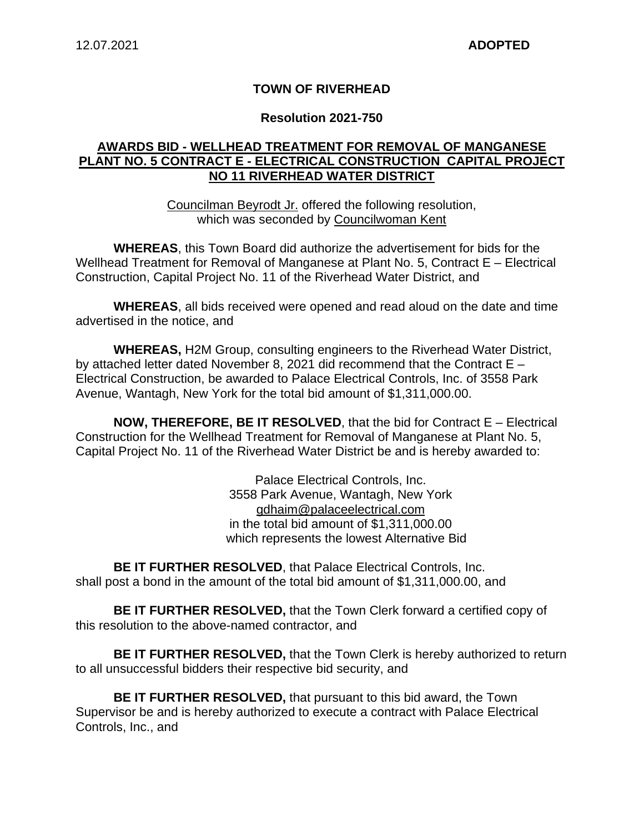### **TOWN OF RIVERHEAD**

#### **Resolution 2021-750**

#### **AWARDS BID - WELLHEAD TREATMENT FOR REMOVAL OF MANGANESE PLANT NO. 5 CONTRACT E - ELECTRICAL CONSTRUCTION CAPITAL PROJECT NO 11 RIVERHEAD WATER DISTRICT**

Councilman Beyrodt Jr. offered the following resolution, which was seconded by Councilwoman Kent

**WHEREAS**, this Town Board did authorize the advertisement for bids for the Wellhead Treatment for Removal of Manganese at Plant No. 5, Contract E – Electrical Construction, Capital Project No. 11 of the Riverhead Water District, and

**WHEREAS**, all bids received were opened and read aloud on the date and time advertised in the notice, and

**WHEREAS,** H2M Group, consulting engineers to the Riverhead Water District, by attached letter dated November 8, 2021 did recommend that the Contract E – Electrical Construction, be awarded to Palace Electrical Controls, Inc. of 3558 Park Avenue, Wantagh, New York for the total bid amount of \$1,311,000.00.

**NOW, THEREFORE, BE IT RESOLVED**, that the bid for Contract E – Electrical Construction for the Wellhead Treatment for Removal of Manganese at Plant No. 5, Capital Project No. 11 of the Riverhead Water District be and is hereby awarded to:

> Palace Electrical Controls, Inc. 3558 Park Avenue, Wantagh, New York gdhaim@palaceelectrical.com in the total bid amount of \$1,311,000.00 which represents the lowest Alternative Bid

**BE IT FURTHER RESOLVED**, that Palace Electrical Controls, Inc. shall post a bond in the amount of the total bid amount of \$1,311,000.00, and

**BE IT FURTHER RESOLVED,** that the Town Clerk forward a certified copy of this resolution to the above-named contractor, and

**BE IT FURTHER RESOLVED,** that the Town Clerk is hereby authorized to return to all unsuccessful bidders their respective bid security, and

**BE IT FURTHER RESOLVED,** that pursuant to this bid award, the Town Supervisor be and is hereby authorized to execute a contract with Palace Electrical Controls, Inc., and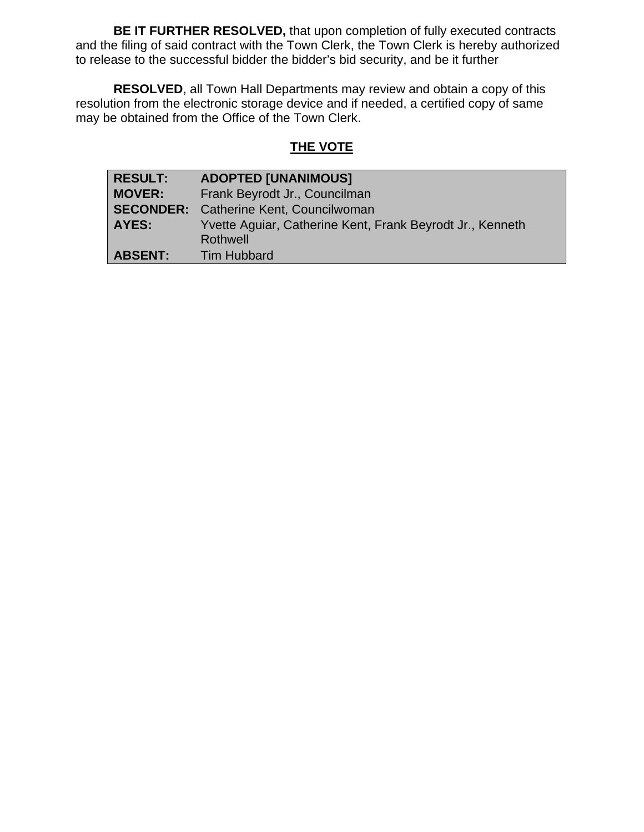**BE IT FURTHER RESOLVED,** that upon completion of fully executed contracts and the filing of said contract with the Town Clerk, the Town Clerk is hereby authorized to release to the successful bidder the bidder's bid security, and be it further

**RESOLVED**, all Town Hall Departments may review and obtain a copy of this resolution from the electronic storage device and if needed, a certified copy of same may be obtained from the Office of the Town Clerk.

# **THE VOTE**

| <b>RESULT:</b> | <b>ADOPTED [UNANIMOUS]</b>                                |  |
|----------------|-----------------------------------------------------------|--|
| <b>MOVER:</b>  | Frank Beyrodt Jr., Councilman                             |  |
|                | <b>SECONDER:</b> Catherine Kent, Councilwoman             |  |
| <b>AYES:</b>   | Yvette Aguiar, Catherine Kent, Frank Beyrodt Jr., Kenneth |  |
|                | Rothwell                                                  |  |
| <b>ABSENT:</b> | <b>Tim Hubbard</b>                                        |  |